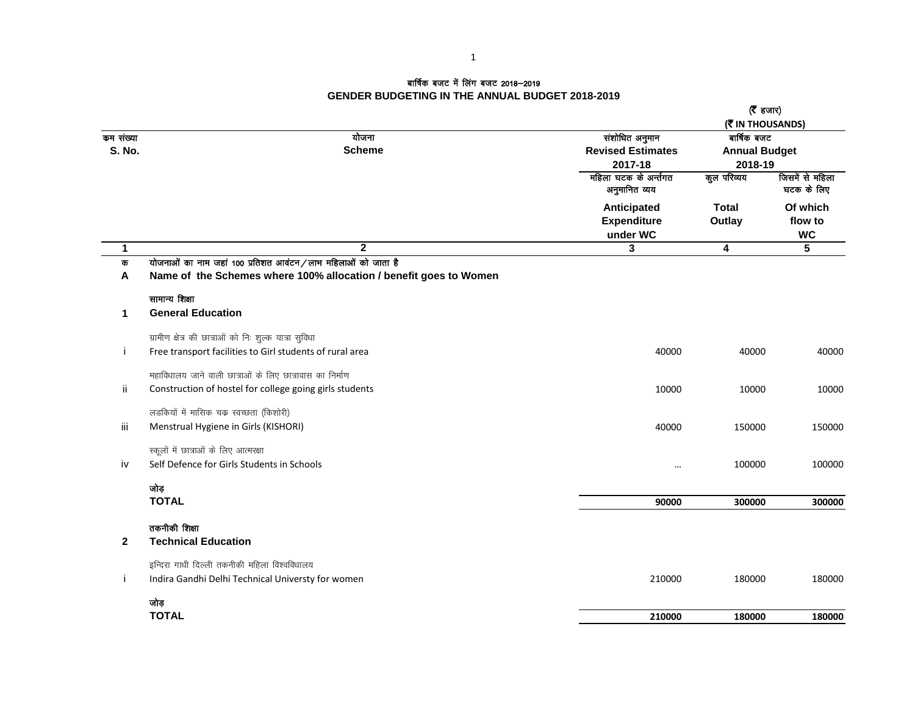## बार्षिक बजट में लिंग बजट 2018—2019 **GENDER BUDGETING IN THE ANNUAL BUDGET 2018-2019**

|                            |                                                                                                                                   |                                                       | ( $\bar{\mathbf{z}}$ हजार)                                         |                                  |
|----------------------------|-----------------------------------------------------------------------------------------------------------------------------------|-------------------------------------------------------|--------------------------------------------------------------------|----------------------------------|
| कम संख्या<br><b>S. No.</b> | योजना<br><b>Scheme</b>                                                                                                            | संशोधित अनुमान<br><b>Revised Estimates</b><br>2017-18 | (そ IN THOUSANDS)<br>बार्षिक बजट<br><b>Annual Budget</b><br>2018-19 |                                  |
|                            |                                                                                                                                   | महिला घटक के अर्न्तगत<br>अनुमानित व्यय                | कुल परिव्यय                                                        | जिसमें से महिला<br>घटक के लिए    |
|                            |                                                                                                                                   | Anticipated<br><b>Expenditure</b><br>under WC         | <b>Total</b><br>Outlay                                             | Of which<br>flow to<br><b>WC</b> |
| $\mathbf{1}$               | $\overline{2}$                                                                                                                    | 3                                                     | 4                                                                  | 5                                |
| क<br>A                     | योजनाओं का नाम जहां 100 प्रतिशत आवंटन/लाभ महिलाओं को जाता है<br>Name of the Schemes where 100% allocation / benefit goes to Women |                                                       |                                                                    |                                  |
|                            | सामान्य शिक्षा                                                                                                                    |                                                       |                                                                    |                                  |
| 1                          | <b>General Education</b>                                                                                                          |                                                       |                                                                    |                                  |
|                            | ग्रामीण क्षेत्र की छात्राओं को निः शुल्क यात्रा सुविधा                                                                            |                                                       |                                                                    |                                  |
| i                          | Free transport facilities to Girl students of rural area                                                                          | 40000                                                 | 40000                                                              | 40000                            |
|                            | महाविधालय जाने वाली छात्राओं के लिए छात्रावास का निर्माण                                                                          |                                                       |                                                                    |                                  |
| ii.                        | Construction of hostel for college going girls students                                                                           | 10000                                                 | 10000                                                              | 10000                            |
|                            | लडकियों में मासिक चक्र स्वच्छता (किशोरी)                                                                                          |                                                       |                                                                    |                                  |
| Ϊij                        | Menstrual Hygiene in Girls (KISHORI)                                                                                              | 40000                                                 | 150000                                                             | 150000                           |
|                            | स्कूलों में छात्राओं के लिए आत्मरक्षा                                                                                             |                                                       |                                                                    |                                  |
| iv                         | Self Defence for Girls Students in Schools                                                                                        |                                                       | 100000                                                             | 100000                           |
|                            | जोड़                                                                                                                              |                                                       |                                                                    |                                  |
|                            | <b>TOTAL</b>                                                                                                                      | 90000                                                 | 300000                                                             | 300000                           |
|                            | तकनीकी शिक्षा                                                                                                                     |                                                       |                                                                    |                                  |
| $\mathbf{2}$               | <b>Technical Education</b>                                                                                                        |                                                       |                                                                    |                                  |
|                            | इन्दिरा गाधी दिल्ली तकनीकी महिला विश्वविधालय                                                                                      |                                                       |                                                                    |                                  |
| j                          | Indira Gandhi Delhi Technical Universty for women                                                                                 | 210000                                                | 180000                                                             | 180000                           |
|                            | जोड़                                                                                                                              |                                                       |                                                                    |                                  |
|                            | <b>TOTAL</b>                                                                                                                      | 210000                                                | 180000                                                             | 180000                           |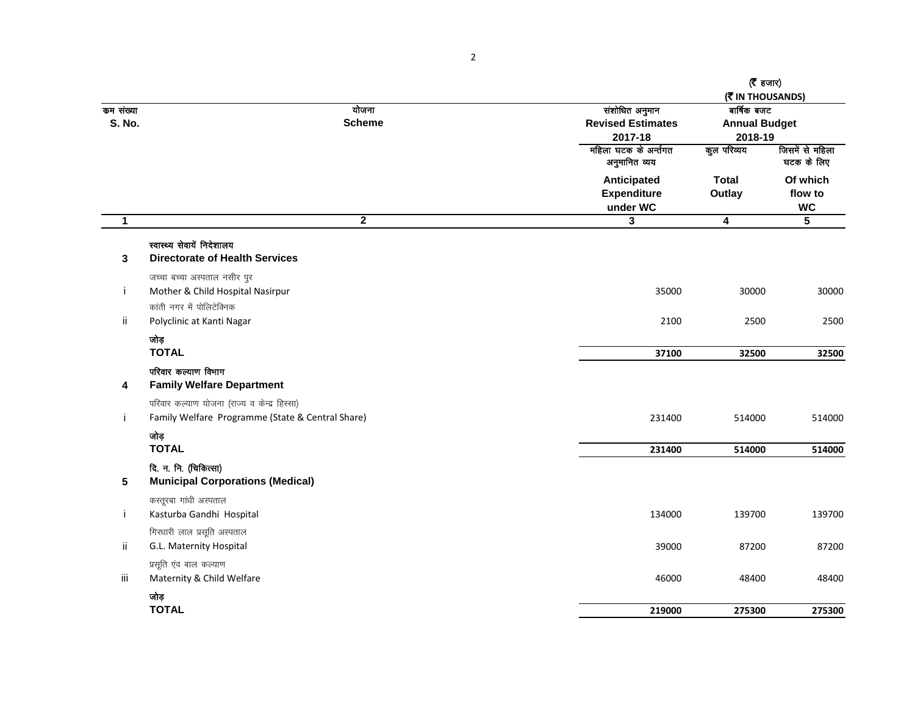|                            |                                                                                                  |                        |                                                       | $($ हजार)<br>(MITHOUSANDS)                     |                                  |
|----------------------------|--------------------------------------------------------------------------------------------------|------------------------|-------------------------------------------------------|------------------------------------------------|----------------------------------|
| कम संख्या<br><b>S. No.</b> |                                                                                                  | योजना<br><b>Scheme</b> | संशोधित अनुमान<br><b>Revised Estimates</b><br>2017-18 | बार्षिक बजट<br><b>Annual Budget</b><br>2018-19 |                                  |
|                            |                                                                                                  |                        | महिला घटक के अर्न्तगत<br>अनुमानित व्यय                | कुल परिव्यय                                    | जिसमें से महिला<br>घटक के लिए    |
|                            |                                                                                                  |                        | Anticipated<br><b>Expenditure</b><br>under WC         | <b>Total</b><br>Outlay                         | Of which<br>flow to<br><b>WC</b> |
| $\mathbf{1}$               |                                                                                                  | $\overline{2}$         | $\mathbf{3}$                                          | $\overline{4}$                                 | $\overline{\mathbf{5}}$          |
| 3                          | स्वास्थ्य सेवायें निदेशालय<br><b>Directorate of Health Services</b>                              |                        |                                                       |                                                |                                  |
| Ť                          | जच्चा बच्चा अस्पताल नसीर पुर<br>Mother & Child Hospital Nasirpur<br>कांती नगर में पोलिटेक्निक    |                        | 35000                                                 | 30000                                          | 30000                            |
| ii                         | Polyclinic at Kanti Nagar                                                                        |                        | 2100                                                  | 2500                                           | 2500                             |
|                            | जोड़<br><b>TOTAL</b>                                                                             |                        | 37100                                                 | 32500                                          | 32500                            |
| 4                          | परिवार कल्याण विभाग<br><b>Family Welfare Department</b>                                          |                        |                                                       |                                                |                                  |
| j.                         | परिवार कल्याण योजना (राज्य व केन्द्र हिस्सा)<br>Family Welfare Programme (State & Central Share) |                        | 231400                                                | 514000                                         | 514000                           |
|                            | जोड़<br><b>TOTAL</b>                                                                             |                        | 231400                                                | 514000                                         | 514000                           |
| 5                          | दि. न. नि. (चिकित्सा)<br><b>Municipal Corporations (Medical)</b>                                 |                        |                                                       |                                                |                                  |
| j.                         | कस्तूरबा गांधी अस्पताल<br>Kasturba Gandhi Hospital                                               |                        | 134000                                                | 139700                                         | 139700                           |
| -ii                        | गिरधारी लाल प्रसूति अस्पताल<br>G.L. Maternity Hospital                                           |                        | 39000                                                 | 87200                                          | 87200                            |
| iii                        | प्रसूति एंव बाल कल्याण<br>Maternity & Child Welfare                                              |                        | 46000                                                 | 48400                                          | 48400                            |
|                            | जोड़<br><b>TOTAL</b>                                                                             |                        | 219000                                                | 275300                                         | 275300                           |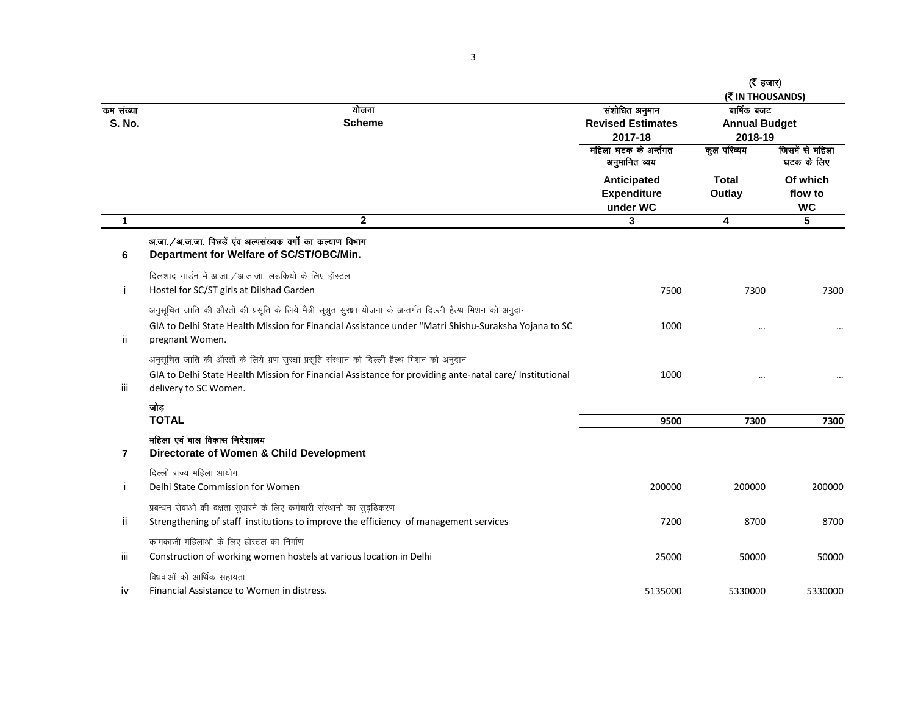|                            |                                                                                                                                                                                                                                           |                                                       | ( $\bar{\mathbf{z}}$ हजार)<br>(WIN THOUSANDS)  |                                  |
|----------------------------|-------------------------------------------------------------------------------------------------------------------------------------------------------------------------------------------------------------------------------------------|-------------------------------------------------------|------------------------------------------------|----------------------------------|
| कम संख्या<br><b>S. No.</b> | योजना<br><b>Scheme</b>                                                                                                                                                                                                                    | संशोधित अनुमान<br><b>Revised Estimates</b><br>2017-18 | बार्षिक बजट<br><b>Annual Budget</b><br>2018-19 |                                  |
|                            |                                                                                                                                                                                                                                           | महिला घटक के अर्न्तगत<br>अनुमानित व्यय                | कुल परिव्यय                                    | जिसमें से महिला<br>घटक के लिए    |
|                            |                                                                                                                                                                                                                                           | Anticipated<br><b>Expenditure</b><br>under WC         | <b>Total</b><br>Outlay                         | Of which<br>flow to<br><b>WC</b> |
| $\mathbf{1}$               | $\mathbf{2}$                                                                                                                                                                                                                              | 3                                                     | $\overline{\mathbf{4}}$                        | 5                                |
| 6                          | अ.जा. / अ.ज.जा. पिछडें एव अल्पसंख्यक वर्गो का कल्याण विभाग<br>Department for Welfare of SC/ST/OBC/Min.                                                                                                                                    |                                                       |                                                |                                  |
| j                          | दिलशाद गार्डन में अ.जा./अ.ज.जा. लडकियों के लिए हॉस्टल<br>Hostel for SC/ST girls at Dilshad Garden                                                                                                                                         | 7500                                                  | 7300                                           | 7300                             |
| ii.                        | अनुसूचित जाति की औरतों की प्रसूति के लिये मैत्री सूश्रुत सुरक्षा योजना के अन्तर्गत दिल्ली हैल्थ मिशन को अनुदान<br>GIA to Delhi State Health Mission for Financial Assistance under "Matri Shishu-Suraksha Yojana to SC<br>pregnant Women. | 1000                                                  |                                                | $\cdots$                         |
| iii                        | अनुसूचित जाति की औरतों के लिये भ्रण सुरक्षा प्रसूति संस्थान को दिल्ली हैल्थ मिशन को अनुदान<br>GIA to Delhi State Health Mission for Financial Assistance for providing ante-natal care/ Institutional<br>delivery to SC Women.            | 1000                                                  | $\cdots$                                       |                                  |
|                            | जोड़<br><b>TOTAL</b>                                                                                                                                                                                                                      | 9500                                                  | 7300                                           | 7300                             |
| $\overline{7}$             | महिला एवं बाल विकास निदेशालय<br>Directorate of Women & Child Development                                                                                                                                                                  |                                                       |                                                |                                  |
| j                          | दिल्ली राज्य महिला आयोग<br>Delhi State Commission for Women                                                                                                                                                                               | 200000                                                | 200000                                         | 200000                           |
| ii.                        | प्रबन्धन सेवाओ की दक्षता सुधारने के लिए कर्मचारी संस्थानो का सुदृढिकरण<br>Strengthening of staff institutions to improve the efficiency of management services                                                                            | 7200                                                  | 8700                                           | 8700                             |
| Ϊİ                         | कामकाजी महिलाओ के लिए होस्टल का निर्माण<br>Construction of working women hostels at various location in Delhi                                                                                                                             | 25000                                                 | 50000                                          | 50000                            |
| iv                         | विधवाओं को आर्थिक सहायता<br>Financial Assistance to Women in distress.                                                                                                                                                                    | 5135000                                               | 5330000                                        | 5330000                          |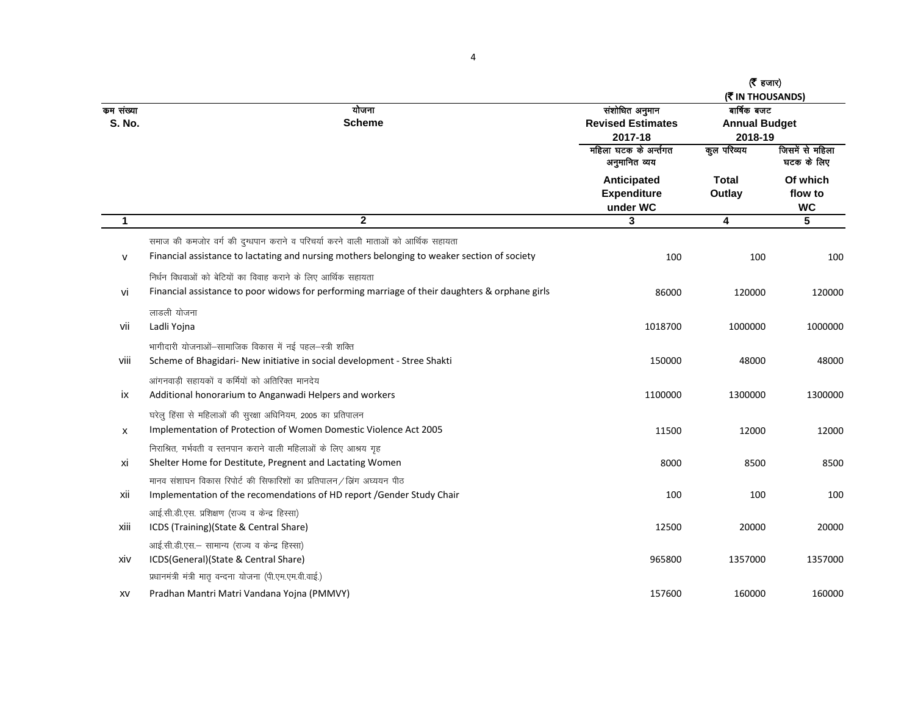|                            |                                                                                                                                                                                   |                                                       | ( $\bar{\mathbf{z}}$ हजार)<br>(WIN THOUSANDS)  |                                  |
|----------------------------|-----------------------------------------------------------------------------------------------------------------------------------------------------------------------------------|-------------------------------------------------------|------------------------------------------------|----------------------------------|
| कम संख्या<br><b>S. No.</b> | योजना<br><b>Scheme</b>                                                                                                                                                            | संशोधित अनुमान<br><b>Revised Estimates</b><br>2017-18 | बार्षिक बजट<br><b>Annual Budget</b><br>2018-19 |                                  |
|                            |                                                                                                                                                                                   | महिला घटक के अर्न्तगत<br>अनुमानित व्यय                | कूल परिव्यय                                    | जिसमें से महिला<br>घटक के लिए    |
|                            |                                                                                                                                                                                   | Anticipated<br><b>Expenditure</b><br>under WC         | <b>Total</b><br>Outlay                         | Of which<br>flow to<br><b>WC</b> |
| 1                          | $\overline{2}$                                                                                                                                                                    | 3                                                     | 4                                              | $\overline{5}$                   |
| $\mathsf{v}$               | समाज की कमजोर वर्ग की दुग्धपान कराने व परिचर्या करने वाली माताओं को आर्थिक सहायता<br>Financial assistance to lactating and nursing mothers belonging to weaker section of society | 100                                                   | 100                                            | 100                              |
| vi                         | निर्धन विधवाओं को बेटियों का विवाह कराने के लिए आर्थिक सहायता<br>Financial assistance to poor widows for performing marriage of their daughters & orphane girls                   | 86000                                                 | 120000                                         | 120000                           |
| vii                        | लाडली योजना<br>Ladli Yojna                                                                                                                                                        | 1018700                                               | 1000000                                        | 1000000                          |
| viii                       | भागीदारी योजनाओं-सामाजिक विकास में नई पहल-स्त्री शक्ति<br>Scheme of Bhagidari- New initiative in social development - Stree Shakti                                                | 150000                                                | 48000                                          | 48000                            |
| ix                         | आंगनवाडी सहायकों व कर्मियों को अतिरिक्त मानदेय<br>Additional honorarium to Anganwadi Helpers and workers                                                                          | 1100000                                               | 1300000                                        | 1300000                          |
| X                          | घरेलु हिंसा से महिलाओं की सुरक्षा अधिनियम, 2005 का प्रतिपालन<br>Implementation of Protection of Women Domestic Violence Act 2005                                                  | 11500                                                 | 12000                                          | 12000                            |
| xi                         | निराश्रित, गर्भवती व स्तनपान कराने वाली महिलाओं के लिए आश्रय गृह<br>Shelter Home for Destitute, Pregnent and Lactating Women                                                      | 8000                                                  | 8500                                           | 8500                             |
| xii                        | मानव संशाघन विकास रिपोर्ट की सिफारिशों का प्रतिपालन / ब्रिंग अध्ययन पीठ<br>Implementation of the recomendations of HD report / Gender Study Chair                                 | 100                                                   | 100                                            | 100                              |
| xiii                       | आई.सी.डी.एस. प्रशिक्षण (राज्य व केन्द्र हिस्सा)<br>ICDS (Training)(State & Central Share)                                                                                         | 12500                                                 | 20000                                          | 20000                            |
| xiv                        | आई.सी.डी.एस.- सामान्य (राज्य व केन्द्र हिस्सा)<br>ICDS(General)(State & Central Share)<br>प्रधानमंत्री मंत्री मातृ वन्दना योजना (पी.एम.एम.वी.वाई.)                                | 965800                                                | 1357000                                        | 1357000                          |
| XV                         | Pradhan Mantri Matri Vandana Yojna (PMMVY)                                                                                                                                        | 157600                                                | 160000                                         | 160000                           |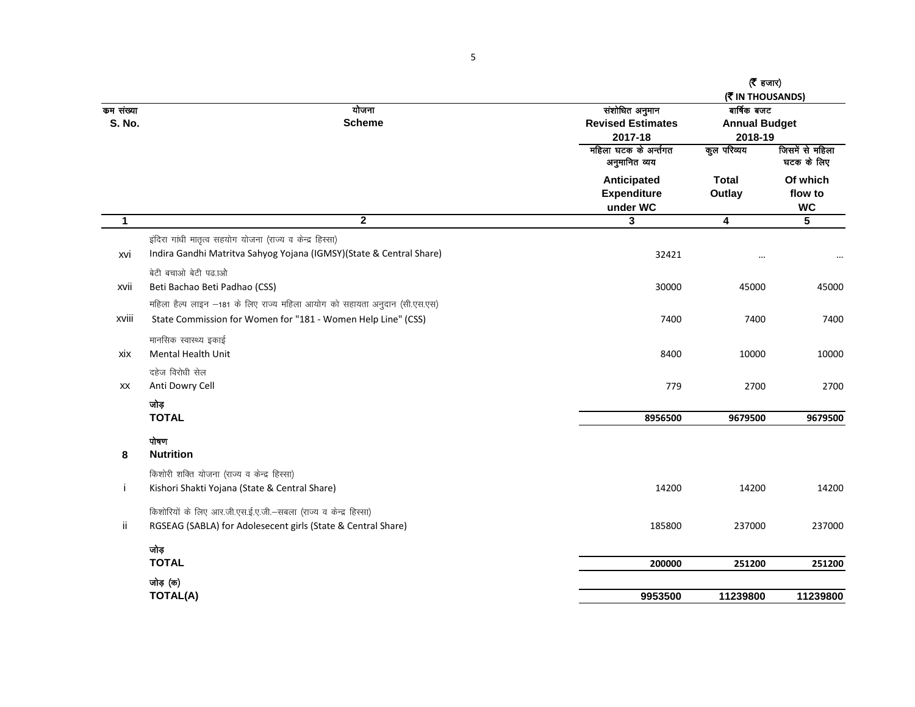|                            |                                                                           |                                                       | ( $\bar{\tau}$ हजार)<br>( THOUSANDS)           |                                  |
|----------------------------|---------------------------------------------------------------------------|-------------------------------------------------------|------------------------------------------------|----------------------------------|
| कम संख्या<br><b>S. No.</b> | योजना<br><b>Scheme</b>                                                    | संशोधित अनुमान<br><b>Revised Estimates</b><br>2017-18 | बार्षिक बजट<br><b>Annual Budget</b><br>2018-19 |                                  |
|                            |                                                                           | महिला घटक के अर्न्तगत<br>अनुमानित व्यय                | कुल परिव्यय                                    | जिसमें से महिला<br>घटक के लिए    |
|                            |                                                                           | Anticipated<br><b>Expenditure</b><br>under WC         | <b>Total</b><br>Outlay                         | Of which<br>flow to<br><b>WC</b> |
| $\mathbf{1}$               | $\overline{\mathbf{2}}$                                                   | 3                                                     | $\overline{4}$                                 | 5                                |
|                            | इंदिरा गांधी मातृत्व सहयोग योजना (राज्य व केन्द्र हिस्सा)                 |                                                       |                                                |                                  |
| xvi                        | Indira Gandhi Matritva Sahyog Yojana (IGMSY)(State & Central Share)       | 32421                                                 |                                                |                                  |
|                            | बेटी बचाओ बेटी पढ़.ाओ                                                     |                                                       |                                                |                                  |
| xvii                       | Beti Bachao Beti Padhao (CSS)                                             | 30000                                                 | 45000                                          | 45000                            |
|                            | महिला हैल्प लाइन -181 के लिए राज्य महिला आयोग को सहायता अनुदान (सी.एस.एस) |                                                       |                                                |                                  |
| xviii                      | State Commission for Women for "181 - Women Help Line" (CSS)              | 7400                                                  | 7400                                           | 7400                             |
|                            | मानसिक स्वास्थ्य इकाई                                                     |                                                       |                                                |                                  |
| xix                        | <b>Mental Health Unit</b>                                                 | 8400                                                  | 10000                                          | 10000                            |
|                            | दहेज विरोधी सेल                                                           |                                                       |                                                |                                  |
| XX                         | Anti Dowry Cell                                                           | 779                                                   | 2700                                           | 2700                             |
|                            | जोड़                                                                      |                                                       |                                                |                                  |
|                            | <b>TOTAL</b>                                                              | 8956500                                               | 9679500                                        | 9679500                          |
|                            | पोषण                                                                      |                                                       |                                                |                                  |
| 8                          | <b>Nutrition</b>                                                          |                                                       |                                                |                                  |
|                            | किशोरी शक्ति योजना (राज्य व केन्द्र हिस्सा)                               |                                                       |                                                |                                  |
| j                          | Kishori Shakti Yojana (State & Central Share)                             | 14200                                                 | 14200                                          | 14200                            |
|                            | किशोरियों के लिए आर.जी.एस.ई.ए.जी.-सबला (राज्य व केन्द्र हिस्सा)           |                                                       |                                                |                                  |
| ii.                        | RGSEAG (SABLA) for Adolesecent girls (State & Central Share)              | 185800                                                | 237000                                         | 237000                           |
|                            | जोड़                                                                      |                                                       |                                                |                                  |
|                            | <b>TOTAL</b>                                                              | 200000                                                | 251200                                         | 251200                           |
|                            | जोड़ (क)                                                                  |                                                       |                                                |                                  |
|                            | <b>TOTAL(A)</b>                                                           | 9953500                                               | 11239800                                       | 11239800                         |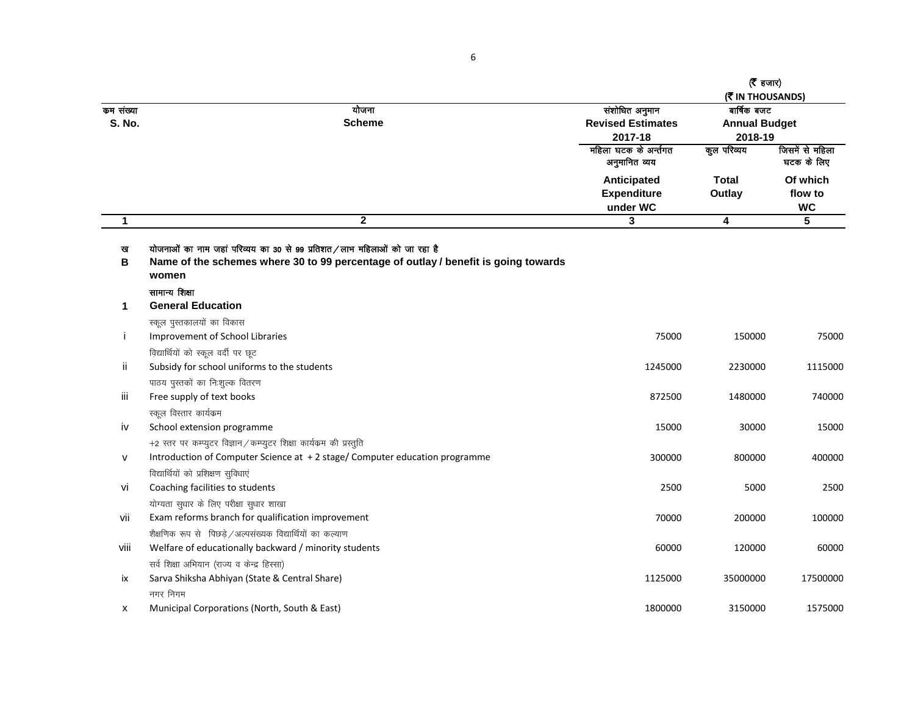| कम संख्या<br><b>S. No.</b> | योजना<br><b>Scheme</b>                                                                                                                                                                    | संशोधित अनुमान<br><b>Revised Estimates</b><br>2017-18 | ( $\bar{\tau}$ हजार)<br>(WIN THOUSANDS)<br>बार्षिक बजट<br><b>Annual Budget</b><br>2018-19 |                                  |
|----------------------------|-------------------------------------------------------------------------------------------------------------------------------------------------------------------------------------------|-------------------------------------------------------|-------------------------------------------------------------------------------------------|----------------------------------|
|                            |                                                                                                                                                                                           | महिला घटक के अर्न्तगत<br>अनुमानित व्यय                | कुल परिव्यय                                                                               | जिसमें से महिला<br>घटक के लिए    |
|                            |                                                                                                                                                                                           | Anticipated<br><b>Expenditure</b><br>under WC         | <b>Total</b><br>Outlay                                                                    | Of which<br>flow to<br><b>WC</b> |
| $\mathbf{1}$               | $\boldsymbol{2}$                                                                                                                                                                          | 3                                                     | $\overline{\mathbf{4}}$                                                                   | $5\phantom{.0}$                  |
| ख<br>B                     | योजनाओं का नाम जहां परिव्यय का 30 से 99 प्रतिशत/लाभ महिलाओं को जा रहा है<br>Name of the schemes where 30 to 99 percentage of outlay / benefit is going towards<br>women<br>सामान्य शिक्षा |                                                       |                                                                                           |                                  |
| 1                          | <b>General Education</b>                                                                                                                                                                  |                                                       |                                                                                           |                                  |
|                            | स्कूल पुस्तकालयों का विकास                                                                                                                                                                |                                                       |                                                                                           |                                  |
| j.                         | Improvement of School Libraries                                                                                                                                                           | 75000                                                 | 150000                                                                                    | 75000                            |
|                            | विद्यार्थियों को स्कूल वर्दी पर छूट                                                                                                                                                       |                                                       |                                                                                           |                                  |
| ïi                         | Subsidy for school uniforms to the students                                                                                                                                               | 1245000                                               | 2230000                                                                                   | 1115000                          |
|                            | पाठय पुस्तकों का निःशुल्क वितरण                                                                                                                                                           |                                                       |                                                                                           |                                  |
| iii                        | Free supply of text books                                                                                                                                                                 | 872500                                                | 1480000                                                                                   | 740000                           |
|                            | स्कूल विस्तार कार्यक्रम                                                                                                                                                                   |                                                       |                                                                                           |                                  |
| iv                         | School extension programme                                                                                                                                                                | 15000                                                 | 30000                                                                                     | 15000                            |
|                            | +2 स्तर पर कम्प्युटर विज्ञान / कम्प्युटर शिक्षा कार्यक्रम की प्रस्तुति                                                                                                                    |                                                       |                                                                                           |                                  |
| $\mathsf{V}$               | Introduction of Computer Science at +2 stage/ Computer education programme                                                                                                                | 300000                                                | 800000                                                                                    | 400000                           |
|                            | विद्यार्थियों को प्रशिक्षण सुविधाएं                                                                                                                                                       |                                                       |                                                                                           |                                  |
| vi                         | Coaching facilities to students                                                                                                                                                           | 2500                                                  | 5000                                                                                      | 2500                             |
|                            | योग्यता सुधार के लिए परीक्षा सुधार शाखा                                                                                                                                                   |                                                       |                                                                                           |                                  |
| vii                        | Exam reforms branch for qualification improvement                                                                                                                                         | 70000                                                 | 200000                                                                                    | 100000                           |
|                            | शैक्षणिक रूप से पिछड़े / अल्पसंख्यक विद्यार्थियों का कल्याण                                                                                                                               |                                                       |                                                                                           |                                  |
| viii                       | Welfare of educationally backward / minority students                                                                                                                                     | 60000                                                 | 120000                                                                                    | 60000                            |
|                            | सर्व शिक्षा अभियान (राज्य व केन्द्र हिस्सा)                                                                                                                                               |                                                       |                                                                                           |                                  |
| ix                         | Sarva Shiksha Abhiyan (State & Central Share)                                                                                                                                             | 1125000                                               | 35000000                                                                                  | 17500000                         |
| X                          | नगर निगम<br>Municipal Corporations (North, South & East)                                                                                                                                  | 1800000                                               | 3150000                                                                                   | 1575000                          |
|                            |                                                                                                                                                                                           |                                                       |                                                                                           |                                  |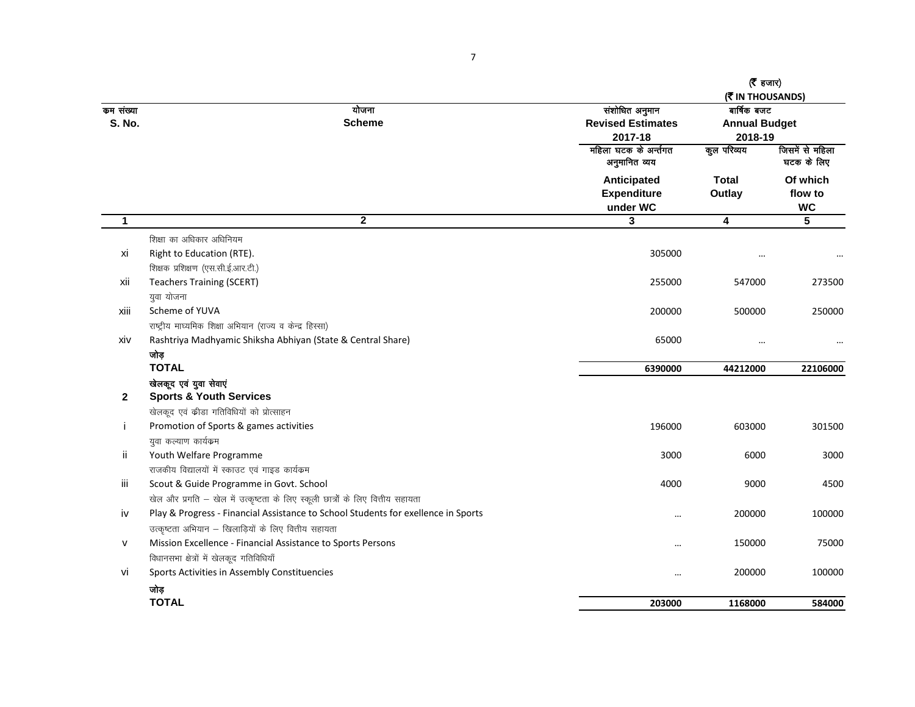|                            |                                                                                   |                                                       | $(5)$ हजार)<br>(M) THOUSANDS) |                                                |  |
|----------------------------|-----------------------------------------------------------------------------------|-------------------------------------------------------|-------------------------------|------------------------------------------------|--|
| कम संख्या<br><b>S. No.</b> | योजना<br><b>Scheme</b>                                                            | संशोधित अनुमान<br><b>Revised Estimates</b><br>2017-18 |                               | बार्षिक बजट<br><b>Annual Budget</b><br>2018-19 |  |
|                            |                                                                                   | महिला घटक के अर्न्तगत<br>अनुमानित व्यय                | कूल परिव्यय                   | जिसमें से महिला<br>घटक के लिए                  |  |
|                            |                                                                                   | Anticipated<br><b>Expenditure</b><br>under WC         | <b>Total</b><br>Outlay        | Of which<br>flow to<br><b>WC</b>               |  |
| $\mathbf{1}$               | $\overline{\mathbf{2}}$                                                           | $\mathbf{3}$                                          | 4                             | $5\phantom{.0}$                                |  |
|                            | शिक्षा का अधिकार अधिनियम                                                          |                                                       |                               |                                                |  |
| xi                         | Right to Education (RTE).<br>शिक्षक प्रशिक्षण (एस.सी.ई.आर.टी.)                    | 305000                                                |                               |                                                |  |
| xii                        | <b>Teachers Training (SCERT)</b>                                                  | 255000                                                | 547000                        | 273500                                         |  |
|                            | युवा योजना                                                                        |                                                       |                               |                                                |  |
| xiii                       | Scheme of YUVA                                                                    | 200000                                                | 500000                        | 250000                                         |  |
|                            | राष्ट्रीय माघ्यमिक शिक्षा अभियान (राज्य व केन्द्र हिस्सा)                         |                                                       |                               |                                                |  |
| xiv                        | Rashtriya Madhyamic Shiksha Abhiyan (State & Central Share)                       | 65000                                                 | $\cdots$                      |                                                |  |
|                            | जोड़                                                                              |                                                       |                               |                                                |  |
|                            | <b>TOTAL</b>                                                                      | 6390000                                               | 44212000                      | 22106000                                       |  |
|                            | खेलकूद एवं युवा सेवाएं                                                            |                                                       |                               |                                                |  |
| $\mathbf{2}$               | <b>Sports &amp; Youth Services</b>                                                |                                                       |                               |                                                |  |
|                            | खेलकूद एवं कीडा गतिविधियों को प्रोत्साहन                                          |                                                       |                               |                                                |  |
| J.                         | Promotion of Sports & games activities                                            | 196000                                                | 603000                        | 301500                                         |  |
|                            | युवा कल्याण कार्यक्रम                                                             |                                                       |                               |                                                |  |
| ii                         | Youth Welfare Programme                                                           | 3000                                                  | 6000                          | 3000                                           |  |
|                            | राजकीय विद्यालयों में स्काउट एवं गाइड कार्यक्रम                                   |                                                       |                               |                                                |  |
| Ш                          | Scout & Guide Programme in Govt. School                                           | 4000                                                  | 9000                          | 4500                                           |  |
|                            | खेल और प्रगति – खेल में उत्कृष्टता के लिए स्कूली छात्रों के लिए वित्तीय सहायता    |                                                       |                               |                                                |  |
| iv                         | Play & Progress - Financial Assistance to School Students for exellence in Sports | $\ddotsc$                                             | 200000                        | 100000                                         |  |
|                            | उत्कृष्टता अभियान – खिलाड़ियों के लिए वित्तीय सहायता                              |                                                       |                               |                                                |  |
| v                          | Mission Excellence - Financial Assistance to Sports Persons                       |                                                       | 150000                        | 75000                                          |  |
|                            | विधानसभा क्षेत्रों में खेलकूद गतिविधियाँ                                          |                                                       |                               |                                                |  |
| vi                         | Sports Activities in Assembly Constituencies                                      | $\cdots$                                              | 200000                        | 100000                                         |  |
|                            | जोड़                                                                              |                                                       |                               |                                                |  |
|                            | <b>TOTAL</b>                                                                      | 203000                                                | 1168000                       | 584000                                         |  |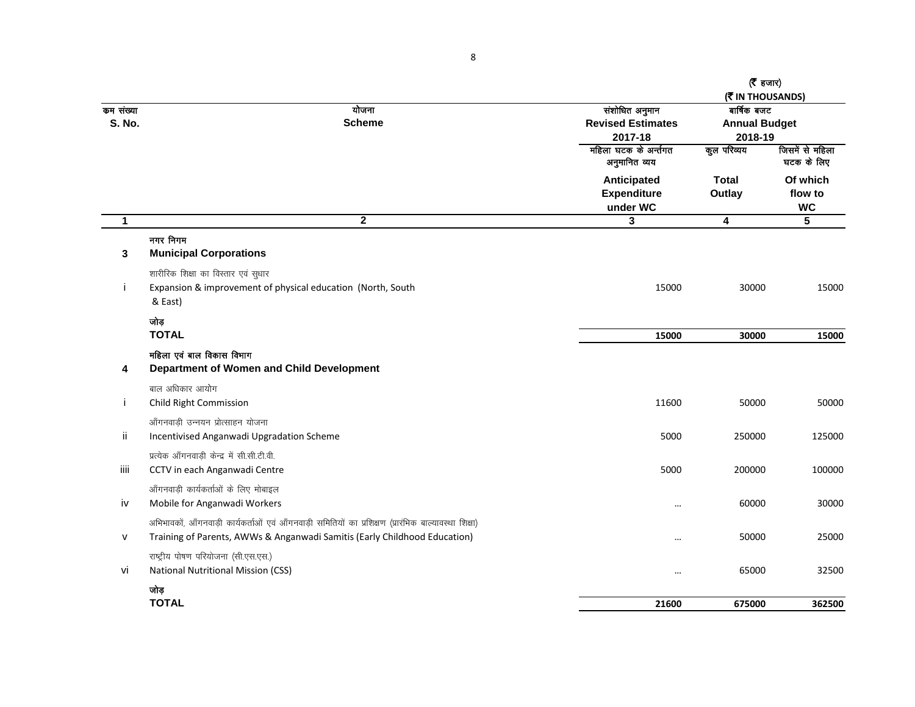|                            |                                                                                                               |                                                                                | ( <b>रै</b> हजार)<br>(WIN THOUSANDS)                          |                                  |
|----------------------------|---------------------------------------------------------------------------------------------------------------|--------------------------------------------------------------------------------|---------------------------------------------------------------|----------------------------------|
| कम संख्या<br><b>S. No.</b> | योजना<br><b>Scheme</b>                                                                                        | संशोधित अनुमान<br><b>Revised Estimates</b><br>2017-18<br>महिला घटक के अर्न्तगत | बार्षिक बजट<br><b>Annual Budget</b><br>2018-19<br>कुल परिव्यय | जिसमें से महिला                  |
|                            |                                                                                                               | अनुमानित व्यय                                                                  |                                                               | घटक के लिए                       |
|                            |                                                                                                               | Anticipated<br><b>Expenditure</b><br>under WC                                  | <b>Total</b><br>Outlay                                        | Of which<br>flow to<br><b>WC</b> |
| $\mathbf{1}$               | $\overline{2}$                                                                                                | $\mathbf{3}$                                                                   | $\overline{\mathbf{4}}$                                       | 5                                |
| 3                          | नगर निगम<br><b>Municipal Corporations</b>                                                                     |                                                                                |                                                               |                                  |
| Ť                          | शारीरिक शिक्षा का विस्तार एवं सुधार<br>Expansion & improvement of physical education (North, South<br>& East) | 15000                                                                          | 30000                                                         | 15000                            |
|                            | जोड़<br><b>TOTAL</b>                                                                                          | 15000                                                                          | 30000                                                         | 15000                            |
| 4                          | महिला एवं बाल विकास विभाग<br>Department of Women and Child Development                                        |                                                                                |                                                               |                                  |
|                            | बाल अधिकार आयोग                                                                                               |                                                                                |                                                               |                                  |
| Ť                          | Child Right Commission                                                                                        | 11600                                                                          | 50000                                                         | 50000                            |
|                            | आँगनवाडी उन्नयन प्रोत्साहन योजना                                                                              |                                                                                |                                                               |                                  |
| ïi                         | Incentivised Anganwadi Upgradation Scheme                                                                     | 5000                                                                           | 250000                                                        | 125000                           |
|                            | प्रत्येक आँगनवाडी केन्द्र में सी.सी.टी.वी.                                                                    |                                                                                |                                                               |                                  |
| iiii                       | CCTV in each Anganwadi Centre                                                                                 | 5000                                                                           | 200000                                                        | 100000                           |
|                            | आँगनवाड़ी कार्यकर्ताओं के लिए मोबाइल                                                                          |                                                                                |                                                               |                                  |
| iv                         | Mobile for Anganwadi Workers                                                                                  | $\cdots$                                                                       | 60000                                                         | 30000                            |
|                            | अभिभावकों, आँगनवाड़ी कार्यकर्ताओं एवं आँगनवाड़ी समितियों का प्रशिक्षण (प्रारंभिक बाल्यावस्था शिक्षा)          |                                                                                |                                                               |                                  |
| $\mathsf{v}$               | Training of Parents, AWWs & Anganwadi Samitis (Early Childhood Education)                                     | $\cdots$                                                                       | 50000                                                         | 25000                            |
| Vİ                         | राष्ट्रीय पोषण परियोजना (सी.एस.एस.)<br><b>National Nutritional Mission (CSS)</b>                              |                                                                                | 65000                                                         | 32500                            |
|                            | जोड़<br><b>TOTAL</b>                                                                                          | 21600                                                                          | 675000                                                        | 362500                           |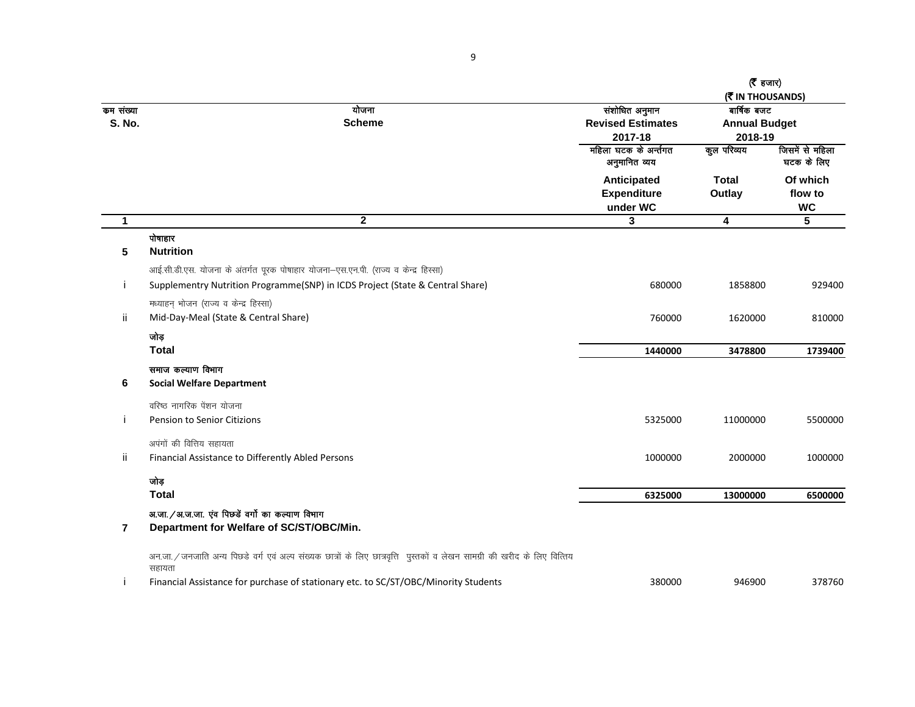|                            |                                                                                                                                     |                                                       | $(5)$ हजार)<br>(WIN THOUSANDS)                 |                                  |
|----------------------------|-------------------------------------------------------------------------------------------------------------------------------------|-------------------------------------------------------|------------------------------------------------|----------------------------------|
| कम संख्या<br><b>S. No.</b> | योजना<br><b>Scheme</b>                                                                                                              | संशोधित अनुमान<br><b>Revised Estimates</b><br>2017-18 | बार्षिक बजट<br><b>Annual Budget</b><br>2018-19 |                                  |
|                            |                                                                                                                                     | महिला घटक के अर्न्तगत<br>अनुमानित व्यय                | कूल परिव्यय                                    | जिसमें से महिला<br>घटक के लिए    |
|                            |                                                                                                                                     | Anticipated<br><b>Expenditure</b><br>under WC         | <b>Total</b><br>Outlay                         | Of which<br>flow to<br><b>WC</b> |
| $\mathbf{1}$               | $\mathbf{2}$                                                                                                                        | 3                                                     | 4                                              | 5                                |
| 5                          | पोषाहार<br><b>Nutrition</b>                                                                                                         |                                                       |                                                |                                  |
|                            | आई.सी.डी.एस. योजना के अंतर्गत पूरक पोषाहार योजना-एस.एन.पी. (राज्य व केन्द्र हिस्सा)                                                 |                                                       |                                                |                                  |
| j.                         | Supplementry Nutrition Programme(SNP) in ICDS Project (State & Central Share)                                                       | 680000                                                | 1858800                                        | 929400                           |
| ïi                         | मध्याहन् भोजन (राज्य व केन्द्र हिस्सा)<br>Mid-Day-Meal (State & Central Share)                                                      | 760000                                                | 1620000                                        | 810000                           |
|                            | जोड़                                                                                                                                |                                                       |                                                |                                  |
|                            | <b>Total</b>                                                                                                                        | 1440000                                               | 3478800                                        | 1739400                          |
|                            | समाज कल्याण विभाग                                                                                                                   |                                                       |                                                |                                  |
| 6                          | <b>Social Welfare Department</b>                                                                                                    |                                                       |                                                |                                  |
|                            | वरिष्ठ नागरिक पेंशन योजना                                                                                                           |                                                       |                                                |                                  |
| j                          | Pension to Senior Citizions                                                                                                         | 5325000                                               | 11000000                                       | 5500000                          |
|                            | अपंगों की वित्तिय सहायता                                                                                                            |                                                       |                                                |                                  |
| jj.                        | Financial Assistance to Differently Abled Persons                                                                                   | 1000000                                               | 2000000                                        | 1000000                          |
|                            | जोड़                                                                                                                                |                                                       |                                                |                                  |
|                            | <b>Total</b>                                                                                                                        | 6325000                                               | 13000000                                       | 6500000                          |
| 7                          | अ.जा. / अ.ज.जा. एंव पिछडे वर्गो का कल्याण विभाग<br>Department for Welfare of SC/ST/OBC/Min.                                         |                                                       |                                                |                                  |
|                            | अन.जा. / जनजाति अन्य पिछडे वर्ग एवं अल्प संख्यक छात्रों के लिए छात्रवृत्ति पुस्तकों व लेखन सामग्री की खरीद के लिए वित्तिय<br>सहायता |                                                       |                                                |                                  |
|                            | Financial Assistance for purchase of stationary etc. to SC/ST/OBC/Minority Students                                                 | 380000                                                | 946900                                         | 378760                           |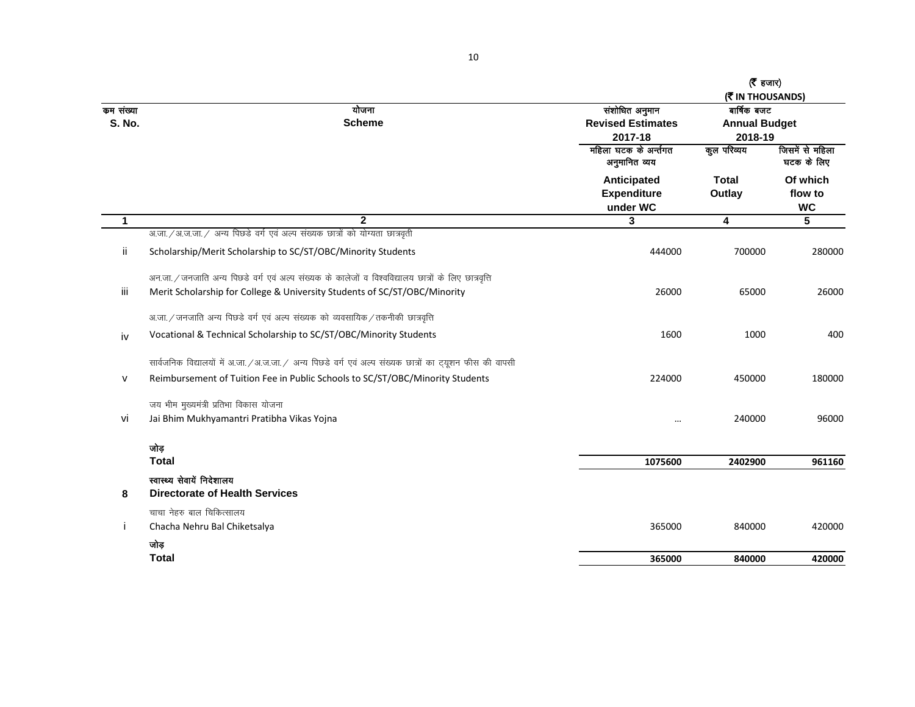|               |                                                                                                           |                          | ( $\bar{\tau}$ हजार) |                 |
|---------------|-----------------------------------------------------------------------------------------------------------|--------------------------|----------------------|-----------------|
|               |                                                                                                           |                          | (WIN THOUSANDS)      |                 |
| कम संख्या     | योजना                                                                                                     | संशोधित अनुमान           | बार्षिक बजट          |                 |
| <b>S. No.</b> | <b>Scheme</b>                                                                                             | <b>Revised Estimates</b> | <b>Annual Budget</b> |                 |
|               |                                                                                                           | 2017-18                  | 2018-19              |                 |
|               |                                                                                                           | महिला घटक के अर्न्तगत    | कूल परिव्यय          | जिसमें से महिला |
|               |                                                                                                           | अनुमानित व्यय            |                      | घटक के लिए      |
|               |                                                                                                           | Anticipated              | <b>Total</b>         | Of which        |
|               |                                                                                                           | <b>Expenditure</b>       | Outlay               | flow to         |
|               |                                                                                                           | under WC                 |                      | <b>WC</b>       |
| 1             | $\mathbf{2}$                                                                                              | 3                        | 4                    | 5               |
|               | अ.जा. / अ.ज.जा. / अन्य पिछडे वर्ग एवं अल्प संख्यक छात्रों को योग्यता छात्रवृती                            |                          |                      |                 |
| ii.           | Scholarship/Merit Scholarship to SC/ST/OBC/Minority Students                                              | 444000                   | 700000               | 280000          |
|               | अन.जा. / जनजाति अन्य पिछडे वर्ग एवं अल्प संख्यक के कालेजों व विश्वविद्यालय छात्रों के लिए छात्रवृत्ति     |                          |                      |                 |
| iii           | Merit Scholarship for College & University Students of SC/ST/OBC/Minority                                 | 26000                    | 65000                | 26000           |
|               | अ.जा. / जनजाति अन्य पिछडे वर्ग एवं अल्प संख्यक को व्यवसायिक / तकनीकी छात्रवृत्ति                          |                          |                      |                 |
| iv            | Vocational & Technical Scholarship to SC/ST/OBC/Minority Students                                         | 1600                     | 1000                 | 400             |
|               | सार्वजनिक विद्यालयों में अ.जा. / अ.ज.जा. / अन्य पिछडे वर्ग एवं अल्प संख्यक छात्रों का ट्यूशन फीस की वापसी |                          |                      |                 |
| $\mathsf{v}$  | Reimbursement of Tuition Fee in Public Schools to SC/ST/OBC/Minority Students                             | 224000                   | 450000               | 180000          |
|               | जय भीम मुख्यमंत्री प्रतिभा विकास योजना                                                                    |                          |                      |                 |
| vi            | Jai Bhim Mukhyamantri Pratibha Vikas Yojna                                                                | $\cdots$                 | 240000               | 96000           |
|               | जोड़                                                                                                      |                          |                      |                 |
|               | <b>Total</b>                                                                                              | 1075600                  | 2402900              | 961160          |
|               | स्वास्थ्य सेवायें निदेशालय                                                                                |                          |                      |                 |
| 8             | <b>Directorate of Health Services</b>                                                                     |                          |                      |                 |
|               | चाचा नेहरु बाल चिकित्सालय                                                                                 |                          |                      |                 |
|               | Chacha Nehru Bal Chiketsalya                                                                              | 365000                   | 840000               | 420000          |
|               | जोड                                                                                                       |                          |                      |                 |
|               | <b>Total</b>                                                                                              | 365000                   | 840000               | 420000          |